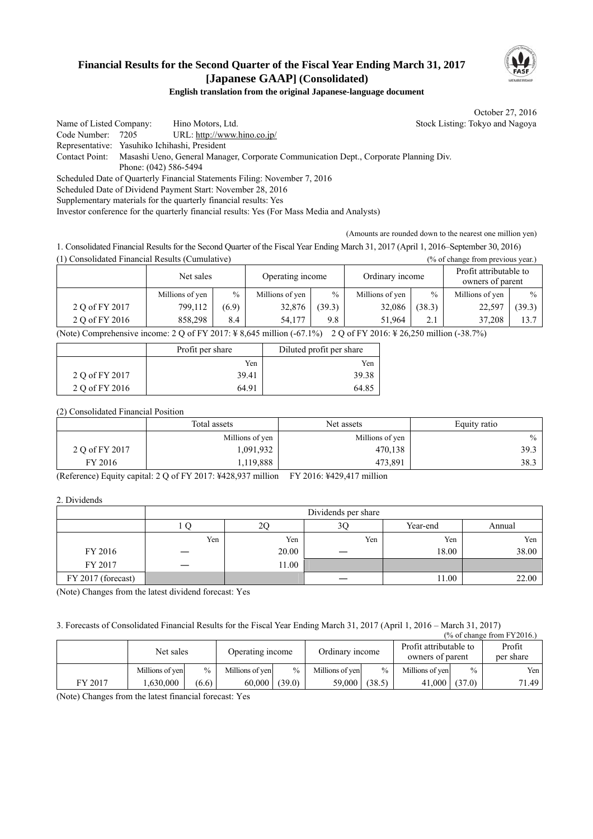## **Financial Results for the Second Quarter of the Fiscal Year Ending March 31, 2017 [Japanese GAAP] (Consolidated)**



#### **English translation from the original Japanese-language document**

October 27, 2016

Name of Listed Company: Hino Motors, Ltd. Stock Listing: Tokyo and Nagoya Code Number: 7205 URL: http://www.hino.co.jp/ Representative: Yasuhiko Ichihashi, President Contact Point: Masashi Ueno, General Manager, Corporate Communication Dept., Corporate Planning Div. Phone: (042) 586-5494 Scheduled Date of Quarterly Financial Statements Filing: November 7, 2016 Scheduled Date of Dividend Payment Start: November 28, 2016 Supplementary materials for the quarterly financial results: Yes

Investor conference for the quarterly financial results: Yes (For Mass Media and Analysts)

(Amounts are rounded down to the nearest one million yen)

1. Consolidated Financial Results for the Second Quarter of the Fiscal Year Ending March 31, 2017 (April 1, 2016–September 30, 2016) (1) Consolidated Financial Results (Cumulative) (% of change from previous year.)

|                                                                                                                  | Net sales       |               | Operating income |               | Ordinary income |               | Profit attributable to<br>owners of parent |               |
|------------------------------------------------------------------------------------------------------------------|-----------------|---------------|------------------|---------------|-----------------|---------------|--------------------------------------------|---------------|
|                                                                                                                  | Millions of yen | $\frac{0}{0}$ | Millions of yen  | $\frac{0}{0}$ | Millions of yen | $\frac{0}{0}$ | Millions of yen                            | $\frac{0}{0}$ |
| 2 O of FY 2017                                                                                                   | 799,112         | (6.9)         | 32,876           | (39.3)        | 32,086          | (38.3)        | 22,597                                     | (39.3)        |
| 2 Q of FY 2016                                                                                                   | 858.298         | 8.4           | 54.177           | 9.8           | 51.964          | 2.1           | 37.208                                     | 13.7          |
| <br>.<br>.<br>$\sim$ $\sim$ $\sim$ $\sim$ $\sim$<br>---------------<br>$\sim$ $\sim$ $\sim$ $\sim$ $\sim$ $\sim$ |                 |               |                  |               |                 |               |                                            |               |

(Note) Comprehensive income: 2 Q of FY 2017: ¥ 8,645 million (-67.1%) 2 Q of FY 2016: ¥ 26,250 million (-38.7%)

|                | Profit per share | Diluted profit per share |  |
|----------------|------------------|--------------------------|--|
|                | Yen              | Yen                      |  |
| 2 Q of FY 2017 | 39.41            | 39.38                    |  |
| 2 O of FY 2016 | 64 91            | 64.85                    |  |

(2) Consolidated Financial Position

|                | Total assets<br>Net assets |                 | Equity ratio |  |
|----------------|----------------------------|-----------------|--------------|--|
|                | Millions of yen            | Millions of yen | $\%$         |  |
| 2 Q of FY 2017 | .091.932                   | 470,138         | 39.3         |  |
| FY 2016        | 119,888                    | 473,891         | 38.3         |  |

(Reference) Equity capital: 2 Q of FY 2017: ¥428,937 million FY 2016: ¥429,417 million

2. Dividends

|                    | Dividends per share |       |     |          |        |
|--------------------|---------------------|-------|-----|----------|--------|
|                    |                     | 2C    | 3C  | Year-end | Annual |
|                    | Yen                 | Yen   | Yen | Yen      | Yen    |
| FY 2016            |                     | 20.00 |     | 18.00    | 38.00  |
| FY 2017            | _                   | 11.00 |     |          |        |
| FY 2017 (forecast) |                     |       |     | 11.00    | 22.00  |

(Note) Changes from the latest dividend forecast: Yes

3. Forecasts of Consolidated Financial Results for the Fiscal Year Ending March 31, 2017 (April 1, 2016 – March 31, 2017)

|         |                 |               |                  |               |                                                               |               |                 |                     | $\frac{9}{6}$ of change from FY2016.) |
|---------|-----------------|---------------|------------------|---------------|---------------------------------------------------------------|---------------|-----------------|---------------------|---------------------------------------|
|         | Net sales       |               | Operating income |               | Profit attributable to<br>Ordinary income<br>owners of parent |               |                 | Profit<br>per share |                                       |
|         | Millions of yen | $\frac{0}{0}$ | Millions of ven  | $\frac{0}{0}$ | Millions of yen                                               | $\frac{0}{0}$ | Millions of yen | $\%$                | Yen I                                 |
| FY 2017 | .630.000        | (6.6)         | 60.000           | (39.0)        | 59,000                                                        | (38.5)        | 41.000          | (37.0)              | 71.49                                 |

(Note) Changes from the latest financial forecast: Yes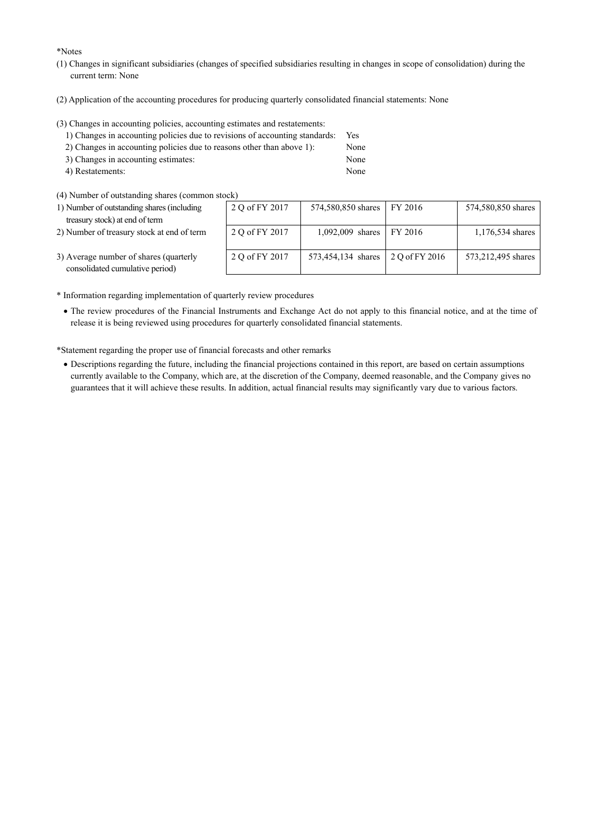\*Notes

- (1) Changes in significant subsidiaries (changes of specified subsidiaries resulting in changes in scope of consolidation) during the current term: None
- (2) Application of the accounting procedures for producing quarterly consolidated financial statements: None

(3) Changes in accounting policies, accounting estimates and restatements:

| 1) Changes in accounting policies due to revisions of accounting standards: | <b>Yes</b> |
|-----------------------------------------------------------------------------|------------|
| 2) Changes in accounting policies due to reasons other than above 1):       | None       |
| 3) Changes in accounting estimates:                                         | None       |
| 4) Restatements:                                                            | None       |

(4) Number of outstanding shares (common stock)

| 1) Number of outstanding shares (including | $\tilde{z}$ |
|--------------------------------------------|-------------|
| treasury stock) at end of term             |             |

2) Number of treasury stock at end of term

| юск)           |                    |                |                    |
|----------------|--------------------|----------------|--------------------|
| 2 Q of FY 2017 | 574,580,850 shares | FY 2016        | 574,580,850 shares |
|                |                    |                |                    |
| 2 Q of FY 2017 | 1,092,009 shares   | FY 2016        | 1,176,534 shares   |
|                |                    |                |                    |
| 2 Q of FY 2017 | 573,454,134 shares | 2 Q of FY 2016 | 573,212,495 shares |
|                |                    |                |                    |

- 3) Average number of shares (quarterly consolidated cumulative period)
- \* Information regarding implementation of quarterly review procedures
	- The review procedures of the Financial Instruments and Exchange Act do not apply to this financial notice, and at the time of release it is being reviewed using procedures for quarterly consolidated financial statements.

\*Statement regarding the proper use of financial forecasts and other remarks

 Descriptions regarding the future, including the financial projections contained in this report, are based on certain assumptions currently available to the Company, which are, at the discretion of the Company, deemed reasonable, and the Company gives no guarantees that it will achieve these results. In addition, actual financial results may significantly vary due to various factors.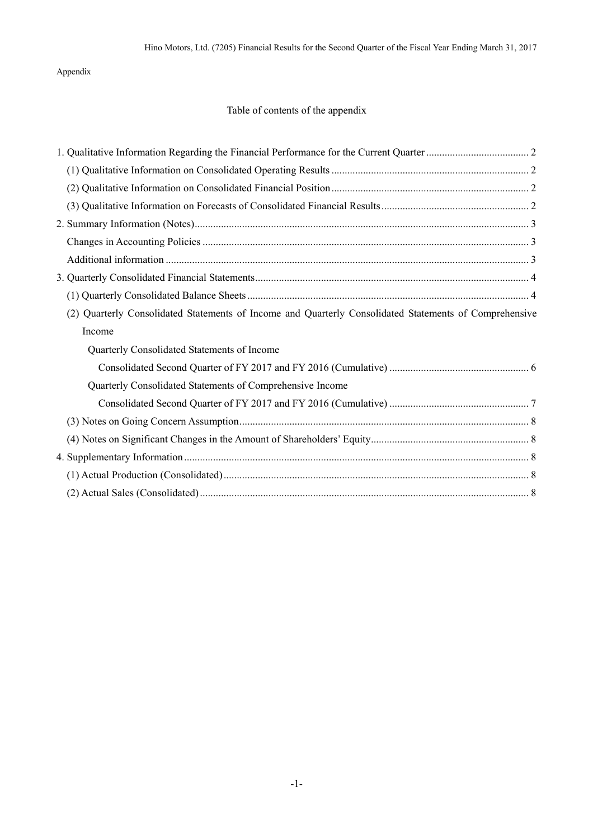Appendix

### Table of contents of the appendix

| (2) Quarterly Consolidated Statements of Income and Quarterly Consolidated Statements of Comprehensive |  |
|--------------------------------------------------------------------------------------------------------|--|
| Income                                                                                                 |  |
| Quarterly Consolidated Statements of Income                                                            |  |
|                                                                                                        |  |
| Quarterly Consolidated Statements of Comprehensive Income                                              |  |
|                                                                                                        |  |
|                                                                                                        |  |
|                                                                                                        |  |
|                                                                                                        |  |
|                                                                                                        |  |
|                                                                                                        |  |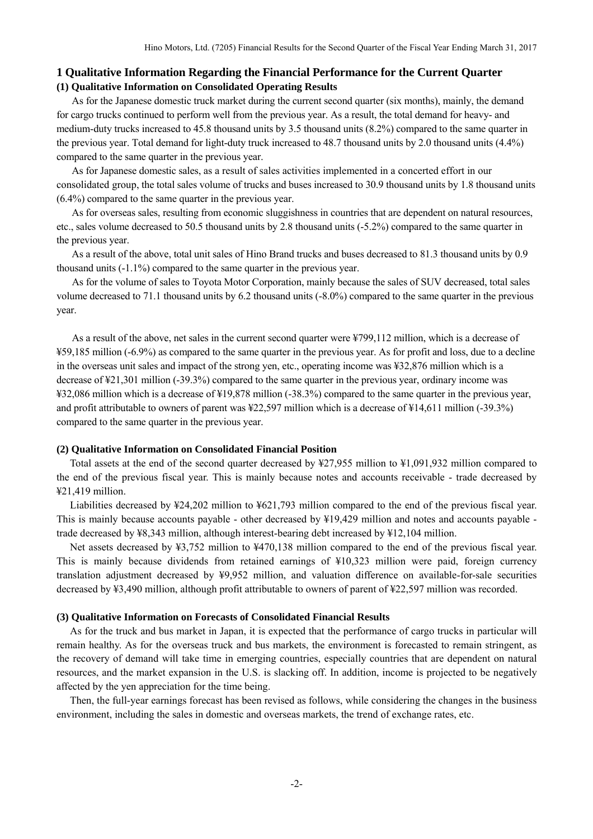#### <span id="page-3-1"></span><span id="page-3-0"></span>**1 Qualitative Information Regarding the Financial Performance for the Current Quarter (1) Qualitative Information on Consolidated Operating Results**

<span id="page-3-2"></span>As for the Japanese domestic truck market during the current second quarter (six months), mainly, the demand for cargo trucks continued to perform well from the previous year. As a result, the total demand for heavy- and medium-duty trucks increased to 45.8 thousand units by 3.5 thousand units (8.2%) compared to the same quarter in the previous year. Total demand for light-duty truck increased to 48.7 thousand units by 2.0 thousand units (4.4%) compared to the same quarter in the previous year.

As for Japanese domestic sales, as a result of sales activities implemented in a concerted effort in our consolidated group, the total sales volume of trucks and buses increased to 30.9 thousand units by 1.8 thousand units (6.4%) compared to the same quarter in the previous year.

As for overseas sales, resulting from economic sluggishness in countries that are dependent on natural resources, etc., sales volume decreased to 50.5 thousand units by 2.8 thousand units (-5.2%) compared to the same quarter in the previous year.

As a result of the above, total unit sales of Hino Brand trucks and buses decreased to 81.3 thousand units by 0.9 thousand units (-1.1%) compared to the same quarter in the previous year.

As for the volume of sales to Toyota Motor Corporation, mainly because the sales of SUV decreased, total sales volume decreased to 71.1 thousand units by 6.2 thousand units (-8.0%) compared to the same quarter in the previous year.

As a result of the above, net sales in the current second quarter were ¥799,112 million, which is a decrease of ¥59,185 million (-6.9%) as compared to the same quarter in the previous year. As for profit and loss, due to a decline in the overseas unit sales and impact of the strong yen, etc., operating income was ¥32,876 million which is a decrease of ¥21,301 million (-39.3%) compared to the same quarter in the previous year, ordinary income was ¥32,086 million which is a decrease of ¥19,878 million (-38.3%) compared to the same quarter in the previous year, and profit attributable to owners of parent was ¥22,597 million which is a decrease of ¥14,611 million (-39.3%) compared to the same quarter in the previous year.

#### **(2) Qualitative Information on Consolidated Financial Position**

<span id="page-3-3"></span>Total assets at the end of the second quarter decreased by ¥27,955 million to ¥1,091,932 million compared to the end of the previous fiscal year. This is mainly because notes and accounts receivable - trade decreased by ¥21,419 million.

Liabilities decreased by ¥24,202 million to ¥621,793 million compared to the end of the previous fiscal year. This is mainly because accounts payable - other decreased by ¥19,429 million and notes and accounts payable trade decreased by ¥8,343 million, although interest-bearing debt increased by ¥12,104 million.

Net assets decreased by ¥3,752 million to ¥470,138 million compared to the end of the previous fiscal year. This is mainly because dividends from retained earnings of ¥10,323 million were paid, foreign currency translation adjustment decreased by ¥9,952 million, and valuation difference on available-for-sale securities decreased by ¥3,490 million, although profit attributable to owners of parent of ¥22,597 million was recorded.

#### **(3) Qualitative Information on Forecasts of Consolidated Financial Results**

As for the truck and bus market in Japan, it is expected that the performance of cargo trucks in particular will remain healthy. As for the overseas truck and bus markets, the environment is forecasted to remain stringent, as the recovery of demand will take time in emerging countries, especially countries that are dependent on natural resources, and the market expansion in the U.S. is slacking off. In addition, income is projected to be negatively affected by the yen appreciation for the time being.

Then, the full-year earnings forecast has been revised as follows, while considering the changes in the business environment, including the sales in domestic and overseas markets, the trend of exchange rates, etc.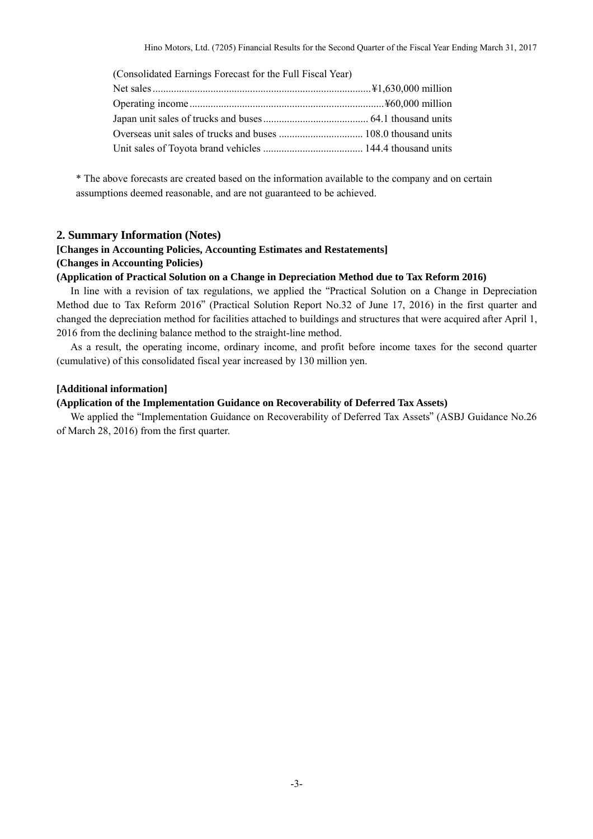| (Consolidated Earnings Forecast for the Full Fiscal Year) |  |
|-----------------------------------------------------------|--|
|                                                           |  |
|                                                           |  |
|                                                           |  |
|                                                           |  |
|                                                           |  |

\* The above forecasts are created based on the information available to the company and on certain assumptions deemed reasonable, and are not guaranteed to be achieved.

#### <span id="page-4-0"></span>**2. Summary Information (Notes)**

#### **[Changes in Accounting Policies, Accounting Estimates and Restatements] (Changes in Accounting Policies)**

#### **(Application of Practical Solution on a Change in Depreciation Method due to Tax Reform 2016)**

In line with a revision of tax regulations, we applied the "Practical Solution on a Change in Depreciation Method due to Tax Reform 2016" (Practical Solution Report No.32 of June 17, 2016) in the first quarter and changed the depreciation method for facilities attached to buildings and structures that were acquired after April 1, 2016 from the declining balance method to the straight-line method.

As a result, the operating income, ordinary income, and profit before income taxes for the second quarter (cumulative) of this consolidated fiscal year increased by 130 million yen.

#### <span id="page-4-1"></span>**[Additional information]**

#### **(Application of the Implementation Guidance on Recoverability of Deferred Tax Assets)**

We applied the "Implementation Guidance on Recoverability of Deferred Tax Assets" (ASBJ Guidance No.26 of March 28, 2016) from the first quarter.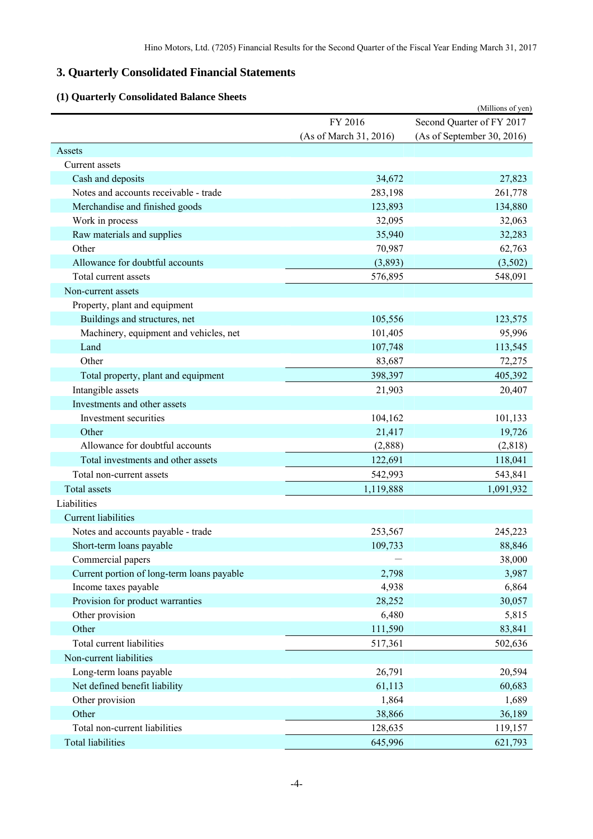# <span id="page-5-0"></span>**3. Quarterly Consolidated Financial Statements**

# **(1) Quarterly Consolidated Balance Sheets**

<span id="page-5-1"></span>

| Consonaanca Dalance                        |                        | (Millions of yen)          |
|--------------------------------------------|------------------------|----------------------------|
|                                            | FY 2016                | Second Quarter of FY 2017  |
|                                            | (As of March 31, 2016) | (As of September 30, 2016) |
| Assets                                     |                        |                            |
| Current assets                             |                        |                            |
| Cash and deposits                          | 34,672                 | 27,823                     |
| Notes and accounts receivable - trade      | 283,198                | 261,778                    |
| Merchandise and finished goods             | 123,893                | 134,880                    |
| Work in process                            | 32,095                 | 32,063                     |
| Raw materials and supplies                 | 35,940                 | 32,283                     |
| Other                                      | 70,987                 | 62,763                     |
| Allowance for doubtful accounts            | (3,893)                | (3,502)                    |
| Total current assets                       | 576,895                | 548,091                    |
| Non-current assets                         |                        |                            |
| Property, plant and equipment              |                        |                            |
| Buildings and structures, net              | 105,556                | 123,575                    |
| Machinery, equipment and vehicles, net     | 101,405                | 95,996                     |
| Land                                       | 107,748                | 113,545                    |
| Other                                      | 83,687                 | 72,275                     |
| Total property, plant and equipment        | 398,397                | 405,392                    |
| Intangible assets                          | 21,903                 | 20,407                     |
| Investments and other assets               |                        |                            |
| Investment securities                      | 104,162                | 101,133                    |
| Other                                      | 21,417                 | 19,726                     |
| Allowance for doubtful accounts            | (2,888)                | (2,818)                    |
| Total investments and other assets         | 122,691                | 118,041                    |
| Total non-current assets                   | 542,993                | 543,841                    |
| <b>Total assets</b>                        | 1,119,888              | 1,091,932                  |
| Liabilities                                |                        |                            |
| <b>Current liabilities</b>                 |                        |                            |
| Notes and accounts payable - trade         | 253,567                | 245,223                    |
| Short-term loans payable                   | 109,733                | 88,846                     |
| Commercial papers                          |                        | 38,000                     |
| Current portion of long-term loans payable | 2,798                  | 3,987                      |
| Income taxes payable                       | 4,938                  | 6,864                      |
| Provision for product warranties           | 28,252                 | 30,057                     |
| Other provision                            | 6,480                  | 5,815                      |
| Other                                      | 111,590                | 83,841                     |
| Total current liabilities                  | 517,361                | 502,636                    |
| Non-current liabilities                    |                        |                            |
| Long-term loans payable                    | 26,791                 | 20,594                     |
| Net defined benefit liability              | 61,113                 | 60,683                     |
| Other provision                            | 1,864                  | 1,689                      |
| Other                                      | 38,866                 | 36,189                     |
| Total non-current liabilities              | 128,635                | 119,157                    |
| <b>Total liabilities</b>                   | 645,996                | 621,793                    |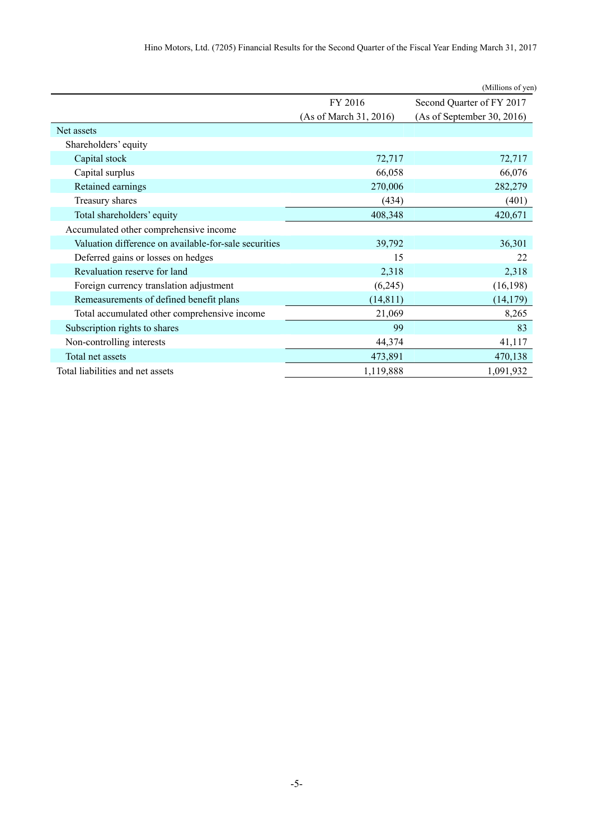| Hino Motors, Ltd. (7205) Financial Results for the Second Quarter of the Fiscal Year Ending March 31, 2017 |  |
|------------------------------------------------------------------------------------------------------------|--|
|------------------------------------------------------------------------------------------------------------|--|

|                                                       |                        | (Millions of yen)          |  |
|-------------------------------------------------------|------------------------|----------------------------|--|
|                                                       | FY 2016                | Second Quarter of FY 2017  |  |
|                                                       | (As of March 31, 2016) | (As of September 30, 2016) |  |
| Net assets                                            |                        |                            |  |
| Shareholders' equity                                  |                        |                            |  |
| Capital stock                                         | 72,717                 | 72,717                     |  |
| Capital surplus                                       | 66,058                 | 66,076                     |  |
| Retained earnings                                     | 270,006                | 282,279                    |  |
| Treasury shares                                       | (434)                  | (401)                      |  |
| Total shareholders' equity                            | 408,348                | 420,671                    |  |
| Accumulated other comprehensive income                |                        |                            |  |
| Valuation difference on available-for-sale securities | 39,792                 | 36,301                     |  |
| Deferred gains or losses on hedges                    | 15                     | 22                         |  |
| Revaluation reserve for land                          | 2,318                  | 2,318                      |  |
| Foreign currency translation adjustment               | (6,245)                | (16, 198)                  |  |
| Remeasurements of defined benefit plans               | (14, 811)              | (14, 179)                  |  |
| Total accumulated other comprehensive income          | 21,069                 | 8,265                      |  |
| Subscription rights to shares                         | 99                     | 83                         |  |
| Non-controlling interests                             | 44,374                 | 41,117                     |  |
| Total net assets                                      | 473,891                | 470,138                    |  |
| Total liabilities and net assets                      | 1,119,888              | 1,091,932                  |  |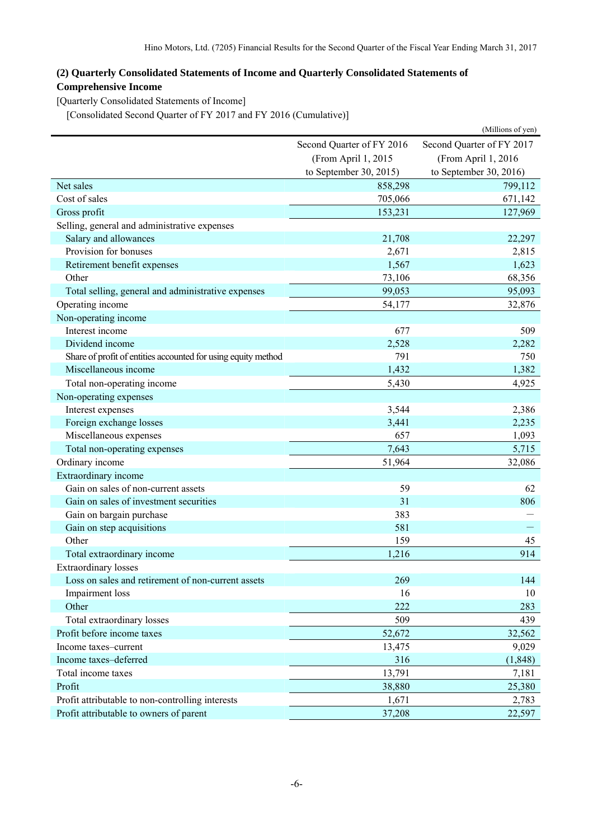## <span id="page-7-0"></span>**(2) Quarterly Consolidated Statements of Income and Quarterly Consolidated Statements of Comprehensive Income**

<span id="page-7-1"></span>[Quarterly Consolidated Statements of Income]

[Consolidated Second Quarter of FY 2017 and FY 2016 (Cumulative)]

<span id="page-7-2"></span>

|                                                               |                           | (Millions of yen)         |  |
|---------------------------------------------------------------|---------------------------|---------------------------|--|
|                                                               | Second Quarter of FY 2016 | Second Quarter of FY 2017 |  |
|                                                               | (From April 1, 2015       | (From April 1, 2016)      |  |
|                                                               | to September 30, 2015)    | to September 30, 2016)    |  |
| Net sales                                                     | 858,298                   | 799,112                   |  |
| Cost of sales                                                 | 705,066                   | 671,142                   |  |
| Gross profit                                                  | 153,231                   | 127,969                   |  |
| Selling, general and administrative expenses                  |                           |                           |  |
| Salary and allowances                                         | 21,708                    | 22,297                    |  |
| Provision for bonuses                                         | 2,671                     | 2,815                     |  |
| Retirement benefit expenses                                   | 1,567                     | 1,623                     |  |
| Other                                                         | 73,106                    | 68,356                    |  |
| Total selling, general and administrative expenses            | 99,053                    | 95,093                    |  |
| Operating income                                              | 54,177                    | 32,876                    |  |
| Non-operating income                                          |                           |                           |  |
| Interest income                                               | 677                       | 509                       |  |
| Dividend income                                               | 2,528                     | 2,282                     |  |
| Share of profit of entities accounted for using equity method | 791                       | 750                       |  |
| Miscellaneous income                                          | 1,432                     | 1,382                     |  |
| Total non-operating income                                    | 5,430                     | 4,925                     |  |
| Non-operating expenses                                        |                           |                           |  |
| Interest expenses                                             | 3,544                     | 2,386                     |  |
| Foreign exchange losses                                       | 3,441                     | 2,235                     |  |
| Miscellaneous expenses                                        | 657                       | 1,093                     |  |
| Total non-operating expenses                                  | 7,643                     | 5,715                     |  |
| Ordinary income                                               | 51,964                    | 32,086                    |  |
| Extraordinary income                                          |                           |                           |  |
| Gain on sales of non-current assets                           | 59                        | 62                        |  |
| Gain on sales of investment securities                        | 31                        | 806                       |  |
| Gain on bargain purchase                                      | 383                       |                           |  |
| Gain on step acquisitions                                     | 581                       |                           |  |
| Other                                                         | 159                       | 45                        |  |
| Total extraordinary income                                    | 1,216                     | 914                       |  |
| <b>Extraordinary losses</b>                                   |                           |                           |  |
| Loss on sales and retirement of non-current assets            | 269                       | 144                       |  |
| Impairment loss                                               | 16                        | 10                        |  |
| Other                                                         | 222                       | 283                       |  |
| Total extraordinary losses                                    | 509                       | 439                       |  |
| Profit before income taxes                                    | 52,672                    | 32,562                    |  |
| Income taxes-current                                          | 13,475                    | 9,029                     |  |
| Income taxes-deferred                                         | 316                       | (1, 848)                  |  |
| Total income taxes                                            | 13,791                    | 7,181                     |  |
| Profit                                                        | 38,880                    | 25,380                    |  |
| Profit attributable to non-controlling interests              | 1,671                     | 2,783                     |  |
| Profit attributable to owners of parent                       | 37,208                    | 22,597                    |  |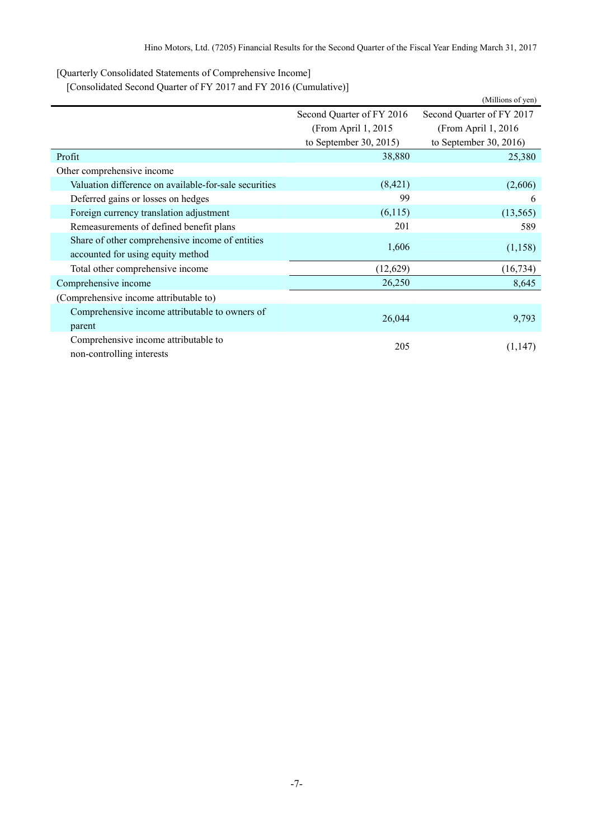<span id="page-8-0"></span>[Quarterly Consolidated Statements of Comprehensive Income]

[Consolidated Second Quarter of FY 2017 and FY 2016 (Cumulative)]

<span id="page-8-1"></span>

|                                                       |                           | (Millions of yen)         |  |
|-------------------------------------------------------|---------------------------|---------------------------|--|
|                                                       | Second Quarter of FY 2016 | Second Quarter of FY 2017 |  |
|                                                       | (From April 1, 2015)      | (From April 1, 2016)      |  |
|                                                       | to September 30, 2015)    | to September 30, 2016)    |  |
| Profit                                                | 38,880                    | 25,380                    |  |
| Other comprehensive income                            |                           |                           |  |
| Valuation difference on available-for-sale securities | (8,421)                   | (2,606)                   |  |
| Deferred gains or losses on hedges                    | 99                        | 6                         |  |
| Foreign currency translation adjustment               | (6,115)                   | (13, 565)                 |  |
| Remeasurements of defined benefit plans               | 201                       | 589                       |  |
| Share of other comprehensive income of entities       |                           |                           |  |
| accounted for using equity method                     | 1,606                     | (1,158)                   |  |
| Total other comprehensive income                      | (12,629)                  | (16, 734)                 |  |
| Comprehensive income                                  | 26,250                    | 8,645                     |  |
| (Comprehensive income attributable to)                |                           |                           |  |
| Comprehensive income attributable to owners of        |                           |                           |  |
| parent                                                | 26,044                    | 9,793                     |  |
| Comprehensive income attributable to                  |                           |                           |  |
| non-controlling interests                             | 205                       | (1,147)                   |  |
|                                                       |                           |                           |  |